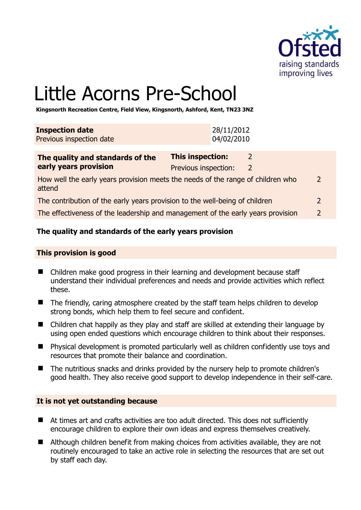

# Little Acorns Pre-School

**Kingsnorth Recreation Centre, Field View, Kingsnorth, Ashford, Kent, TN23 3NZ** 

| <b>Inspection date</b>   | 28/11/2012 |
|--------------------------|------------|
| Previous inspection date | 04/02/2010 |
|                          |            |

| The quality and standards of the                                                          | <b>This inspection:</b> |                |
|-------------------------------------------------------------------------------------------|-------------------------|----------------|
| early years provision                                                                     | Previous inspection:    |                |
| How well the early years provision meets the needs of the range of children who<br>attend |                         | 2              |
| The contribution of the early years provision to the well-being of children               |                         | 2              |
| The effectiveness of the leadership and management of the early years provision           |                         | $\overline{2}$ |

# **The quality and standards of the early years provision**

#### **This provision is good**

- Children make good progress in their learning and development because staff understand their individual preferences and needs and provide activities which reflect these.
- The friendly, caring atmosphere created by the staff team helps children to develop strong bonds, which help them to feel secure and confident.
- Children chat happily as they play and staff are skilled at extending their language by using open ended questions which encourage children to think about their responses.
- Physical development is promoted particularly well as children confidently use toys and resources that promote their balance and coordination.
- The nutritious snacks and drinks provided by the nursery help to promote children's good health. They also receive good support to develop independence in their self-care.

# **It is not yet outstanding because**

- At times art and crafts activities are too adult directed. This does not sufficiently encourage children to explore their own ideas and express themselves creatively.
- Although children benefit from making choices from activities available, they are not routinely encouraged to take an active role in selecting the resources that are set out by staff each day.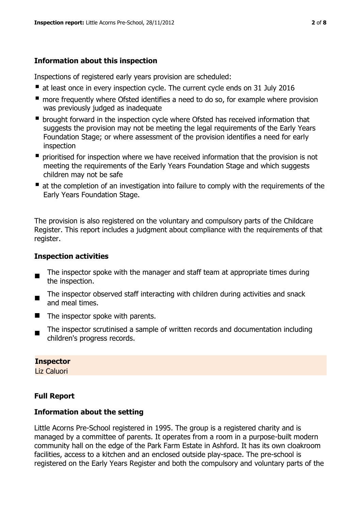# **Information about this inspection**

Inspections of registered early years provision are scheduled:

- at least once in every inspection cycle. The current cycle ends on 31 July 2016
- **n** more frequently where Ofsted identifies a need to do so, for example where provision was previously judged as inadequate
- **•** brought forward in the inspection cycle where Ofsted has received information that suggests the provision may not be meeting the legal requirements of the Early Years Foundation Stage; or where assessment of the provision identifies a need for early inspection
- **P** prioritised for inspection where we have received information that the provision is not meeting the requirements of the Early Years Foundation Stage and which suggests children may not be safe
- at the completion of an investigation into failure to comply with the requirements of the Early Years Foundation Stage.

The provision is also registered on the voluntary and compulsory parts of the Childcare Register. This report includes a judgment about compliance with the requirements of that register.

# **Inspection activities**

- $\blacksquare$ The inspector spoke with the manager and staff team at appropriate times during the inspection.
- $\blacksquare$ The inspector observed staff interacting with children during activities and snack and meal times.
- $\blacksquare$  The inspector spoke with parents.
- The inspector scrutinised a sample of written records and documentation including children's progress records.

# **Inspector**

Liz Caluori

# **Full Report**

# **Information about the setting**

Little Acorns Pre-School registered in 1995. The group is a registered charity and is managed by a committee of parents. It operates from a room in a purpose-built modern community hall on the edge of the Park Farm Estate in Ashford. It has its own cloakroom facilities, access to a kitchen and an enclosed outside play-space. The pre-school is registered on the Early Years Register and both the compulsory and voluntary parts of the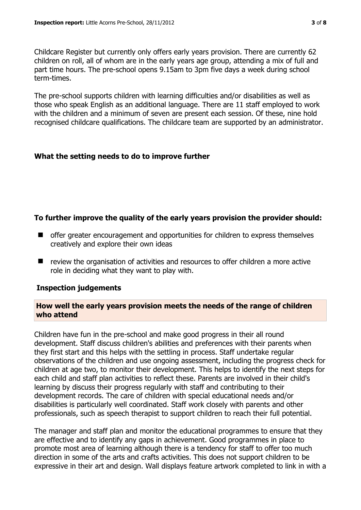Childcare Register but currently only offers early years provision. There are currently 62 children on roll, all of whom are in the early years age group, attending a mix of full and part time hours. The pre-school opens 9.15am to 3pm five days a week during school term-times.

The pre-school supports children with learning difficulties and/or disabilities as well as those who speak English as an additional language. There are 11 staff employed to work with the children and a minimum of seven are present each session. Of these, nine hold recognised childcare qualifications. The childcare team are supported by an administrator.

# **What the setting needs to do to improve further**

# **To further improve the quality of the early years provision the provider should:**

- offer greater encouragement and opportunities for children to express themselves creatively and explore their own ideas
- review the organisation of activities and resources to offer children a more active role in deciding what they want to play with.

#### **Inspection judgements**

#### **How well the early years provision meets the needs of the range of children who attend**

Children have fun in the pre-school and make good progress in their all round development. Staff discuss children's abilities and preferences with their parents when they first start and this helps with the settling in process. Staff undertake regular observations of the children and use ongoing assessment, including the progress check for children at age two, to monitor their development. This helps to identify the next steps for each child and staff plan activities to reflect these. Parents are involved in their child's learning by discuss their progress regularly with staff and contributing to their development records. The care of children with special educational needs and/or disabilities is particularly well coordinated. Staff work closely with parents and other professionals, such as speech therapist to support children to reach their full potential.

The manager and staff plan and monitor the educational programmes to ensure that they are effective and to identify any gaps in achievement. Good programmes in place to promote most area of learning although there is a tendency for staff to offer too much direction in some of the arts and crafts activities. This does not support children to be expressive in their art and design. Wall displays feature artwork completed to link in with a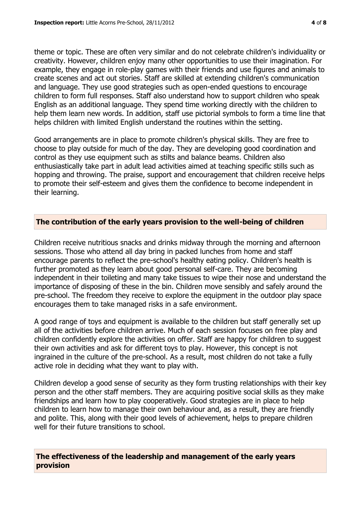theme or topic. These are often very similar and do not celebrate children's individuality or creativity. However, children enjoy many other opportunities to use their imagination. For example, they engage in role-play games with their friends and use figures and animals to create scenes and act out stories. Staff are skilled at extending children's communication and language. They use good strategies such as open-ended questions to encourage children to form full responses. Staff also understand how to support children who speak English as an additional language. They spend time working directly with the children to help them learn new words. In addition, staff use pictorial symbols to form a time line that helps children with limited English understand the routines within the setting.

Good arrangements are in place to promote children's physical skills. They are free to choose to play outside for much of the day. They are developing good coordination and control as they use equipment such as stilts and balance beams. Children also enthusiastically take part in adult lead activities aimed at teaching specific stills such as hopping and throwing. The praise, support and encouragement that children receive helps to promote their self-esteem and gives them the confidence to become independent in their learning.

#### **The contribution of the early years provision to the well-being of children**

Children receive nutritious snacks and drinks midway through the morning and afternoon sessions. Those who attend all day bring in packed lunches from home and staff encourage parents to reflect the pre-school's healthy eating policy. Children's health is further promoted as they learn about good personal self-care. They are becoming independent in their toileting and many take tissues to wipe their nose and understand the importance of disposing of these in the bin. Children move sensibly and safely around the pre-school. The freedom they receive to explore the equipment in the outdoor play space encourages them to take managed risks in a safe environment.

A good range of toys and equipment is available to the children but staff generally set up all of the activities before children arrive. Much of each session focuses on free play and children confidently explore the activities on offer. Staff are happy for children to suggest their own activities and ask for different toys to play. However, this concept is not ingrained in the culture of the pre-school. As a result, most children do not take a fully active role in deciding what they want to play with.

Children develop a good sense of security as they form trusting relationships with their key person and the other staff members. They are acquiring positive social skills as they make friendships and learn how to play cooperatively. Good strategies are in place to help children to learn how to manage their own behaviour and, as a result, they are friendly and polite. This, along with their good levels of achievement, helps to prepare children well for their future transitions to school.

**The effectiveness of the leadership and management of the early years provision**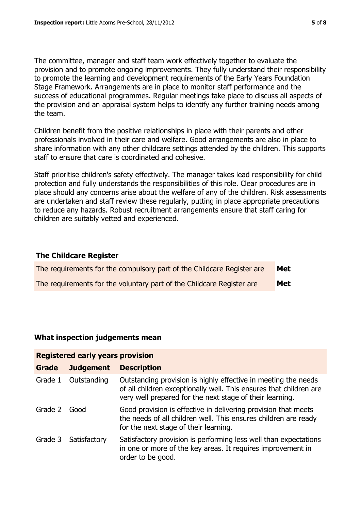The committee, manager and staff team work effectively together to evaluate the provision and to promote ongoing improvements. They fully understand their responsibility to promote the learning and development requirements of the Early Years Foundation Stage Framework. Arrangements are in place to monitor staff performance and the success of educational programmes. Regular meetings take place to discuss all aspects of the provision and an appraisal system helps to identify any further training needs among the team.

Children benefit from the positive relationships in place with their parents and other professionals involved in their care and welfare. Good arrangements are also in place to share information with any other childcare settings attended by the children. This supports staff to ensure that care is coordinated and cohesive.

Staff prioritise children's safety effectively. The manager takes lead responsibility for child protection and fully understands the responsibilities of this role. Clear procedures are in place should any concerns arise about the welfare of any of the children. Risk assessments are undertaken and staff review these regularly, putting in place appropriate precautions to reduce any hazards. Robust recruitment arrangements ensure that staff caring for children are suitably vetted and experienced.

#### **The Childcare Register**

| The requirements for the compulsory part of the Childcare Register are | Met |
|------------------------------------------------------------------------|-----|
| The requirements for the voluntary part of the Childcare Register are  | Met |

#### **What inspection judgements mean**

| <b>Registered early years provision</b> |                      |                                                                                                                                                                                                  |  |
|-----------------------------------------|----------------------|--------------------------------------------------------------------------------------------------------------------------------------------------------------------------------------------------|--|
| <b>Grade</b>                            | <b>Judgement</b>     | <b>Description</b>                                                                                                                                                                               |  |
| Grade 1                                 | Outstanding          | Outstanding provision is highly effective in meeting the needs<br>of all children exceptionally well. This ensures that children are<br>very well prepared for the next stage of their learning. |  |
| Grade 2                                 | Good                 | Good provision is effective in delivering provision that meets<br>the needs of all children well. This ensures children are ready<br>for the next stage of their learning.                       |  |
|                                         | Grade 3 Satisfactory | Satisfactory provision is performing less well than expectations<br>in one or more of the key areas. It requires improvement in<br>order to be good.                                             |  |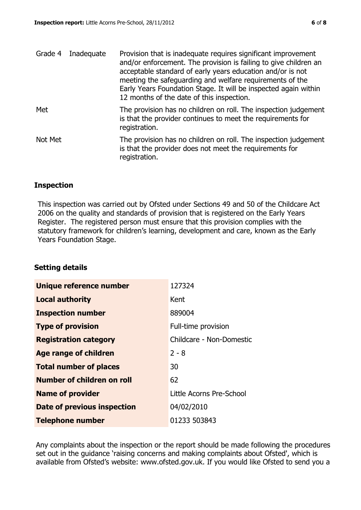| Grade 4 | Inadequate | Provision that is inadequate requires significant improvement<br>and/or enforcement. The provision is failing to give children an<br>acceptable standard of early years education and/or is not<br>meeting the safeguarding and welfare requirements of the<br>Early Years Foundation Stage. It will be inspected again within<br>12 months of the date of this inspection. |
|---------|------------|-----------------------------------------------------------------------------------------------------------------------------------------------------------------------------------------------------------------------------------------------------------------------------------------------------------------------------------------------------------------------------|
| Met     |            | The provision has no children on roll. The inspection judgement<br>is that the provider continues to meet the requirements for<br>registration.                                                                                                                                                                                                                             |
| Not Met |            | The provision has no children on roll. The inspection judgement<br>is that the provider does not meet the requirements for<br>registration.                                                                                                                                                                                                                                 |

#### **Inspection**

This inspection was carried out by Ofsted under Sections 49 and 50 of the Childcare Act 2006 on the quality and standards of provision that is registered on the Early Years Register. The registered person must ensure that this provision complies with the statutory framework for children's learning, development and care, known as the Early Years Foundation Stage.

#### **Setting details**

| Unique reference number       | 127324                   |
|-------------------------------|--------------------------|
| <b>Local authority</b>        | Kent                     |
| <b>Inspection number</b>      | 889004                   |
| <b>Type of provision</b>      | Full-time provision      |
| <b>Registration category</b>  | Childcare - Non-Domestic |
| <b>Age range of children</b>  | $2 - 8$                  |
| <b>Total number of places</b> | 30                       |
| Number of children on roll    | 62                       |
| <b>Name of provider</b>       | Little Acorns Pre-School |
| Date of previous inspection   | 04/02/2010               |
| <b>Telephone number</b>       | 01233 503843             |

Any complaints about the inspection or the report should be made following the procedures set out in the guidance 'raising concerns and making complaints about Ofsted', which is available from Ofsted's website: www.ofsted.gov.uk. If you would like Ofsted to send you a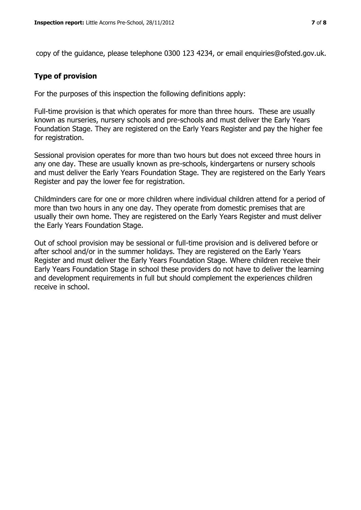copy of the guidance, please telephone 0300 123 4234, or email enquiries@ofsted.gov.uk.

#### **Type of provision**

For the purposes of this inspection the following definitions apply:

Full-time provision is that which operates for more than three hours. These are usually known as nurseries, nursery schools and pre-schools and must deliver the Early Years Foundation Stage. They are registered on the Early Years Register and pay the higher fee for registration.

Sessional provision operates for more than two hours but does not exceed three hours in any one day. These are usually known as pre-schools, kindergartens or nursery schools and must deliver the Early Years Foundation Stage. They are registered on the Early Years Register and pay the lower fee for registration.

Childminders care for one or more children where individual children attend for a period of more than two hours in any one day. They operate from domestic premises that are usually their own home. They are registered on the Early Years Register and must deliver the Early Years Foundation Stage.

Out of school provision may be sessional or full-time provision and is delivered before or after school and/or in the summer holidays. They are registered on the Early Years Register and must deliver the Early Years Foundation Stage. Where children receive their Early Years Foundation Stage in school these providers do not have to deliver the learning and development requirements in full but should complement the experiences children receive in school.